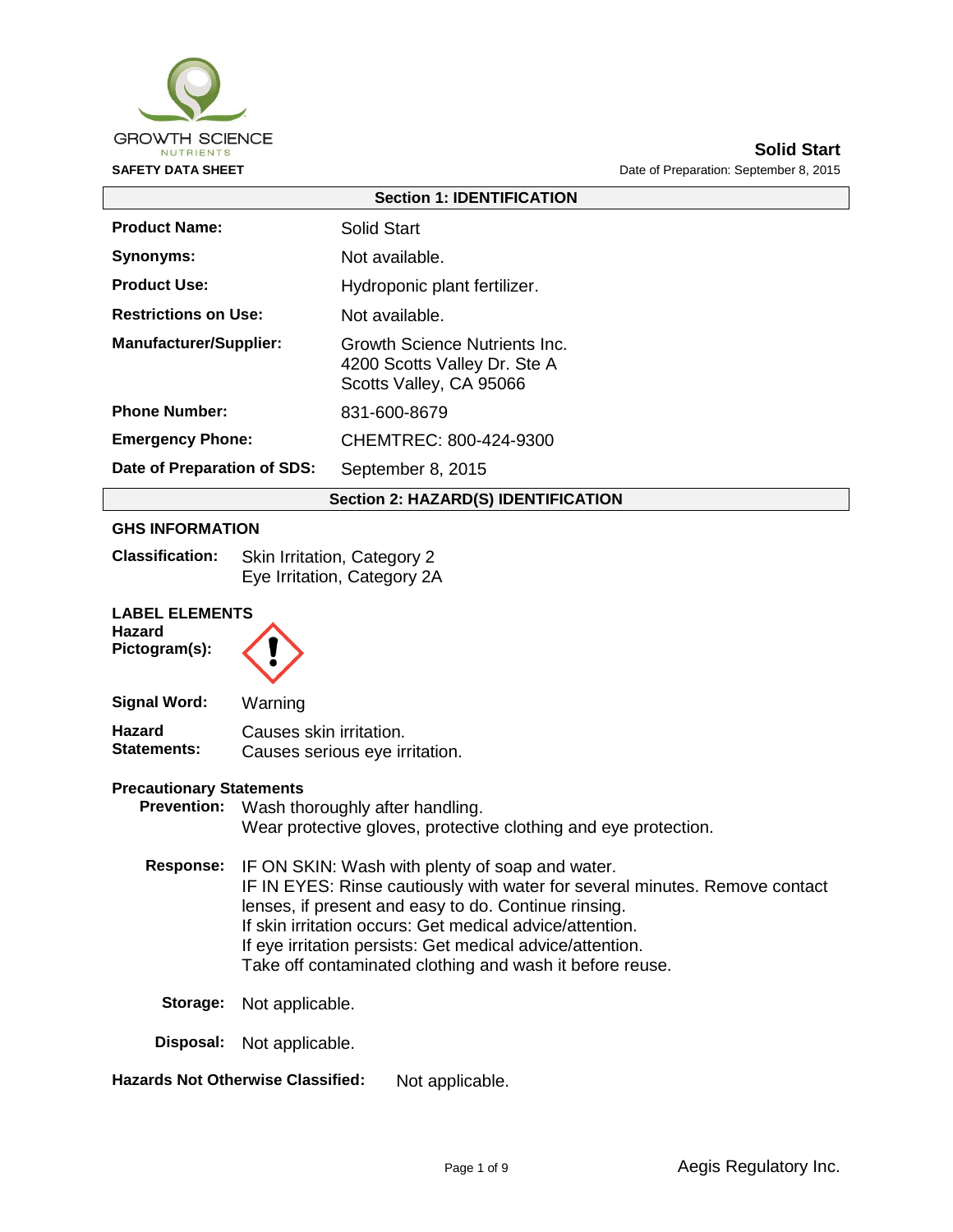

| <b>Section 1: IDENTIFICATION</b>           |                                                                                          |  |  |
|--------------------------------------------|------------------------------------------------------------------------------------------|--|--|
| <b>Product Name:</b>                       | Solid Start                                                                              |  |  |
| Synonyms:                                  | Not available.                                                                           |  |  |
| <b>Product Use:</b>                        | Hydroponic plant fertilizer.                                                             |  |  |
| <b>Restrictions on Use:</b>                | Not available.                                                                           |  |  |
| <b>Manufacturer/Supplier:</b>              | Growth Science Nutrients Inc.<br>4200 Scotts Valley Dr. Ste A<br>Scotts Valley, CA 95066 |  |  |
| <b>Phone Number:</b>                       | 831-600-8679                                                                             |  |  |
| <b>Emergency Phone:</b>                    | CHEMTREC: 800-424-9300                                                                   |  |  |
| Date of Preparation of SDS:                | September 8, 2015                                                                        |  |  |
| <b>Section 2: HAZARD(S) IDENTIFICATION</b> |                                                                                          |  |  |
|                                            |                                                                                          |  |  |

#### **GHS INFORMATION**

| <b>Classification:</b> | Skin Irritation, Category 2 |
|------------------------|-----------------------------|
|                        | Eye Irritation, Category 2A |

#### **LABEL ELEMENTS**

| <b>Hazard</b> |
|---------------|
| Pictogram(s): |

| Signal Word:       | Warning                        |
|--------------------|--------------------------------|
| Hazard             | Causes skin irritation.        |
| <b>Statements:</b> | Causes serious eye irritation. |

#### **Precautionary Statements**

**Prevention:** Wash thoroughly after handling. Wear protective gloves, protective clothing and eye protection.

- **Response:** IF ON SKIN: Wash with plenty of soap and water. IF IN EYES: Rinse cautiously with water for several minutes. Remove contact lenses, if present and easy to do. Continue rinsing. If skin irritation occurs: Get medical advice/attention. If eye irritation persists: Get medical advice/attention. Take off contaminated clothing and wash it before reuse.
	- **Storage:** Not applicable.

**Disposal:** Not applicable.

**Hazards Not Otherwise Classified:** Not applicable.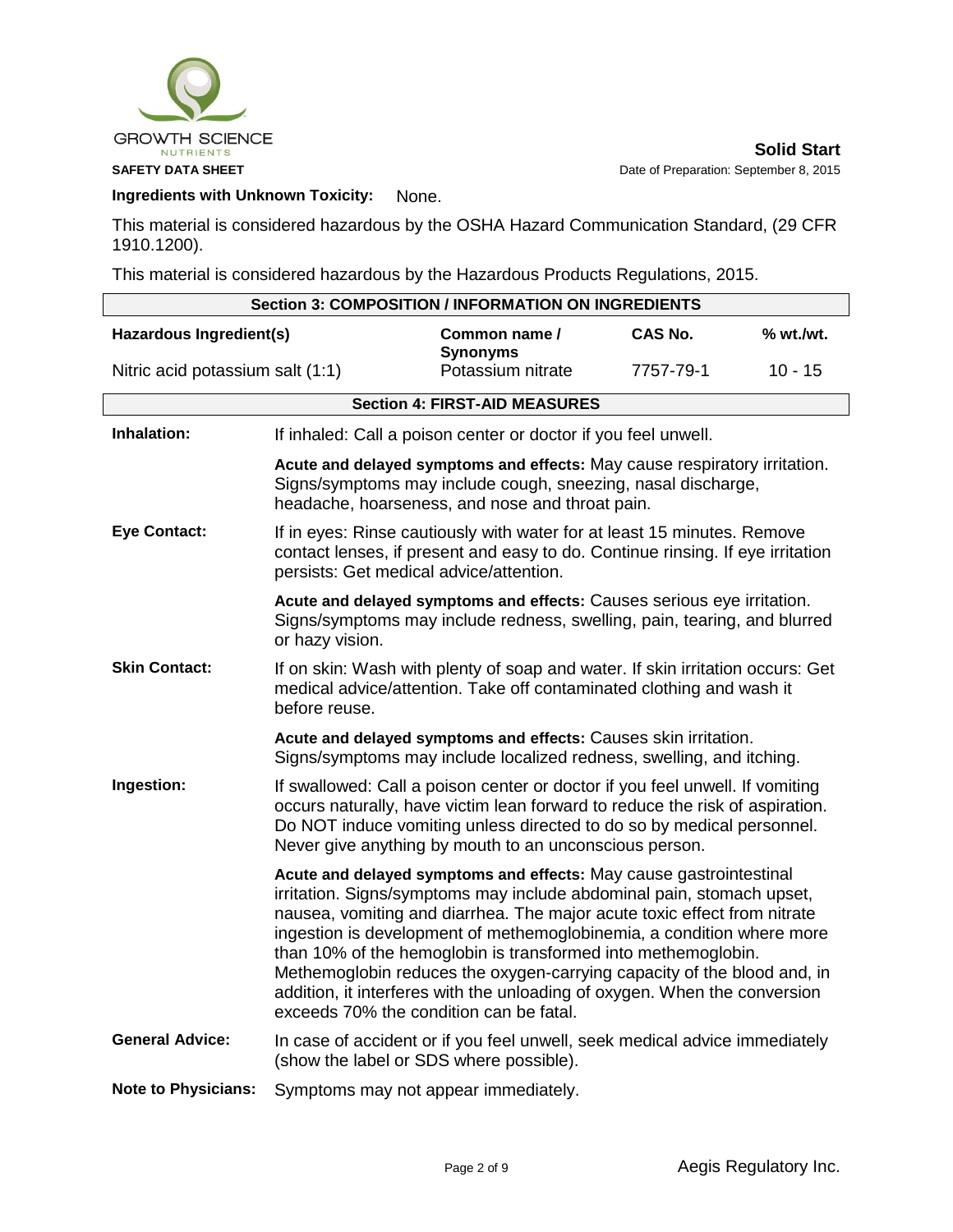

## **Ingredients with Unknown Toxicity:** None.

This material is considered hazardous by the OSHA Hazard Communication Standard, (29 CFR 1910.1200).

This material is considered hazardous by the Hazardous Products Regulations, 2015.

| <b>Section 3: COMPOSITION / INFORMATION ON INGREDIENTS</b> |                                                                                                                                                                                                                                                                                                                    |                                                                                                                                                                                                                                                                                                                                                                                                                                                                                                                                                                      |           |           |  |
|------------------------------------------------------------|--------------------------------------------------------------------------------------------------------------------------------------------------------------------------------------------------------------------------------------------------------------------------------------------------------------------|----------------------------------------------------------------------------------------------------------------------------------------------------------------------------------------------------------------------------------------------------------------------------------------------------------------------------------------------------------------------------------------------------------------------------------------------------------------------------------------------------------------------------------------------------------------------|-----------|-----------|--|
| Hazardous Ingredient(s)                                    |                                                                                                                                                                                                                                                                                                                    | Common name /<br><b>Synonyms</b>                                                                                                                                                                                                                                                                                                                                                                                                                                                                                                                                     | CAS No.   | % wt./wt. |  |
| Nitric acid potassium salt (1:1)                           |                                                                                                                                                                                                                                                                                                                    | Potassium nitrate                                                                                                                                                                                                                                                                                                                                                                                                                                                                                                                                                    | 7757-79-1 | $10 - 15$ |  |
|                                                            |                                                                                                                                                                                                                                                                                                                    | <b>Section 4: FIRST-AID MEASURES</b>                                                                                                                                                                                                                                                                                                                                                                                                                                                                                                                                 |           |           |  |
| Inhalation:                                                |                                                                                                                                                                                                                                                                                                                    | If inhaled: Call a poison center or doctor if you feel unwell.                                                                                                                                                                                                                                                                                                                                                                                                                                                                                                       |           |           |  |
|                                                            |                                                                                                                                                                                                                                                                                                                    | Acute and delayed symptoms and effects: May cause respiratory irritation.<br>Signs/symptoms may include cough, sneezing, nasal discharge,<br>headache, hoarseness, and nose and throat pain.                                                                                                                                                                                                                                                                                                                                                                         |           |           |  |
| <b>Eye Contact:</b>                                        | persists: Get medical advice/attention.                                                                                                                                                                                                                                                                            | If in eyes: Rinse cautiously with water for at least 15 minutes. Remove<br>contact lenses, if present and easy to do. Continue rinsing. If eye irritation                                                                                                                                                                                                                                                                                                                                                                                                            |           |           |  |
|                                                            | Acute and delayed symptoms and effects: Causes serious eye irritation.<br>Signs/symptoms may include redness, swelling, pain, tearing, and blurred<br>or hazy vision.                                                                                                                                              |                                                                                                                                                                                                                                                                                                                                                                                                                                                                                                                                                                      |           |           |  |
| <b>Skin Contact:</b>                                       | If on skin: Wash with plenty of soap and water. If skin irritation occurs: Get<br>medical advice/attention. Take off contaminated clothing and wash it<br>before reuse.<br>Acute and delayed symptoms and effects: Causes skin irritation.<br>Signs/symptoms may include localized redness, swelling, and itching. |                                                                                                                                                                                                                                                                                                                                                                                                                                                                                                                                                                      |           |           |  |
|                                                            |                                                                                                                                                                                                                                                                                                                    |                                                                                                                                                                                                                                                                                                                                                                                                                                                                                                                                                                      |           |           |  |
| Ingestion:                                                 |                                                                                                                                                                                                                                                                                                                    | If swallowed: Call a poison center or doctor if you feel unwell. If vomiting<br>occurs naturally, have victim lean forward to reduce the risk of aspiration.<br>Do NOT induce vomiting unless directed to do so by medical personnel.<br>Never give anything by mouth to an unconscious person.                                                                                                                                                                                                                                                                      |           |           |  |
|                                                            |                                                                                                                                                                                                                                                                                                                    | Acute and delayed symptoms and effects: May cause gastrointestinal<br>irritation. Signs/symptoms may include abdominal pain, stomach upset,<br>nausea, vomiting and diarrhea. The major acute toxic effect from nitrate<br>ingestion is development of methemoglobinemia, a condition where more<br>than 10% of the hemoglobin is transformed into methemoglobin.<br>Methemoglobin reduces the oxygen-carrying capacity of the blood and, in<br>addition, it interferes with the unloading of oxygen. When the conversion<br>exceeds 70% the condition can be fatal. |           |           |  |
| <b>General Advice:</b>                                     |                                                                                                                                                                                                                                                                                                                    | In case of accident or if you feel unwell, seek medical advice immediately<br>(show the label or SDS where possible).                                                                                                                                                                                                                                                                                                                                                                                                                                                |           |           |  |
| <b>Note to Physicians:</b>                                 |                                                                                                                                                                                                                                                                                                                    | Symptoms may not appear immediately.                                                                                                                                                                                                                                                                                                                                                                                                                                                                                                                                 |           |           |  |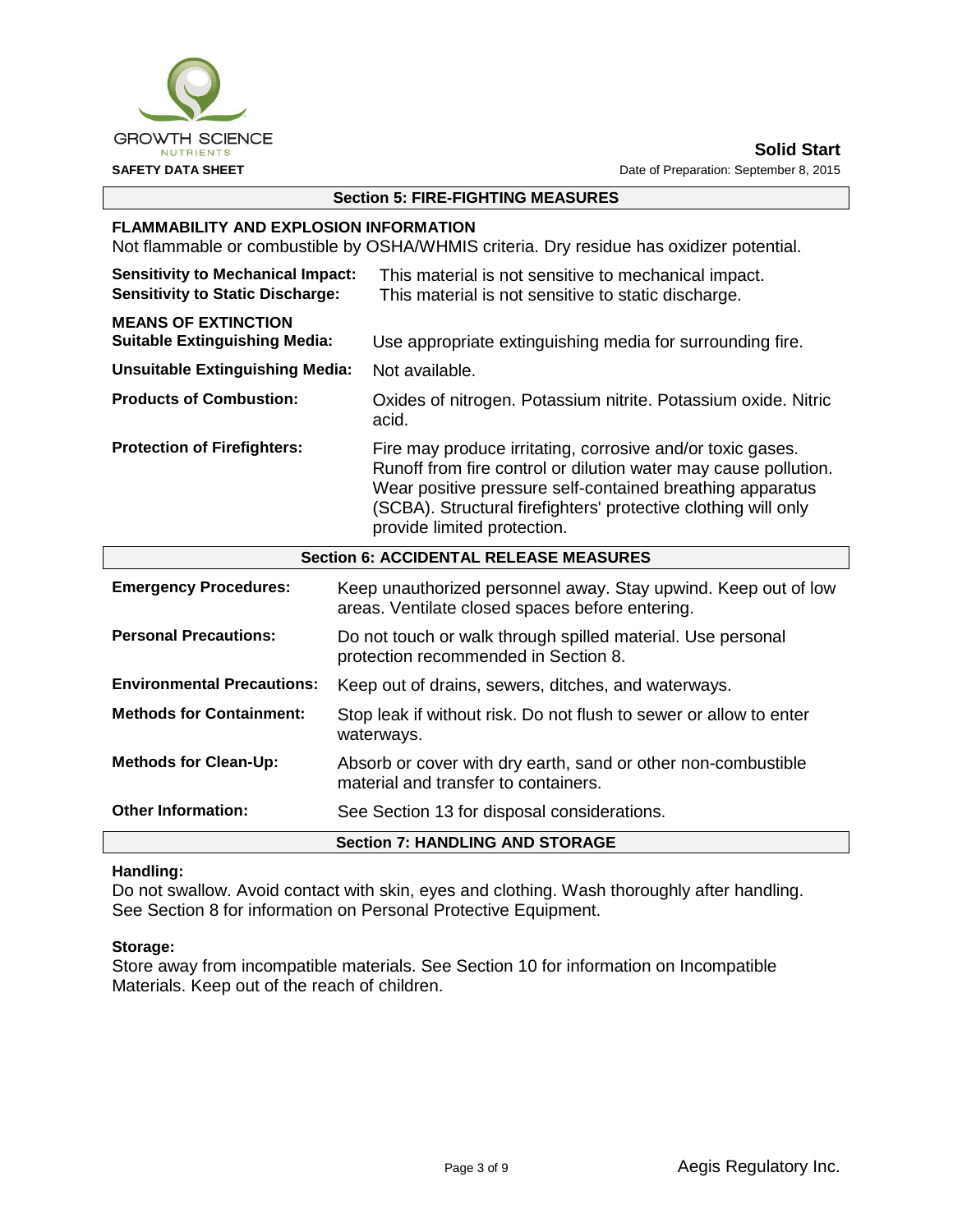

## **Section 5: FIRE-FIGHTING MEASURES**

#### **FLAMMABILITY AND EXPLOSION INFORMATION**

Not flammable or combustible by OSHA/WHMIS criteria. Dry residue has oxidizer potential.

| <b>Sensitivity to Mechanical Impact:</b><br><b>Sensitivity to Static Discharge:</b> | This material is not sensitive to mechanical impact.<br>This material is not sensitive to static discharge.                                                                                                                                                                                 |  |  |
|-------------------------------------------------------------------------------------|---------------------------------------------------------------------------------------------------------------------------------------------------------------------------------------------------------------------------------------------------------------------------------------------|--|--|
| <b>MEANS OF EXTINCTION</b><br><b>Suitable Extinguishing Media:</b>                  | Use appropriate extinguishing media for surrounding fire.                                                                                                                                                                                                                                   |  |  |
| <b>Unsuitable Extinguishing Media:</b>                                              | Not available.                                                                                                                                                                                                                                                                              |  |  |
| <b>Products of Combustion:</b>                                                      | Oxides of nitrogen. Potassium nitrite. Potassium oxide. Nitric<br>acid.                                                                                                                                                                                                                     |  |  |
| <b>Protection of Firefighters:</b>                                                  | Fire may produce irritating, corrosive and/or toxic gases.<br>Runoff from fire control or dilution water may cause pollution.<br>Wear positive pressure self-contained breathing apparatus<br>(SCBA). Structural firefighters' protective clothing will only<br>provide limited protection. |  |  |

| <b>Section 6: ACCIDENTAL RELEASE MEASURES</b> |                                                                                                                   |  |  |
|-----------------------------------------------|-------------------------------------------------------------------------------------------------------------------|--|--|
| <b>Emergency Procedures:</b>                  | Keep unauthorized personnel away. Stay upwind. Keep out of low<br>areas. Ventilate closed spaces before entering. |  |  |
| <b>Personal Precautions:</b>                  | Do not touch or walk through spilled material. Use personal<br>protection recommended in Section 8.               |  |  |
| <b>Environmental Precautions:</b>             | Keep out of drains, sewers, ditches, and waterways.                                                               |  |  |
| <b>Methods for Containment:</b>               | Stop leak if without risk. Do not flush to sewer or allow to enter<br>waterways.                                  |  |  |
| <b>Methods for Clean-Up:</b>                  | Absorb or cover with dry earth, sand or other non-combustible<br>material and transfer to containers.             |  |  |
| <b>Other Information:</b>                     | See Section 13 for disposal considerations.                                                                       |  |  |
|                                               | <b>Section 7: HANDLING AND STORAGE</b>                                                                            |  |  |

#### **Handling:**

Do not swallow. Avoid contact with skin, eyes and clothing. Wash thoroughly after handling. See Section 8 for information on Personal Protective Equipment.

#### **Storage:**

Store away from incompatible materials. See Section 10 for information on Incompatible Materials. Keep out of the reach of children.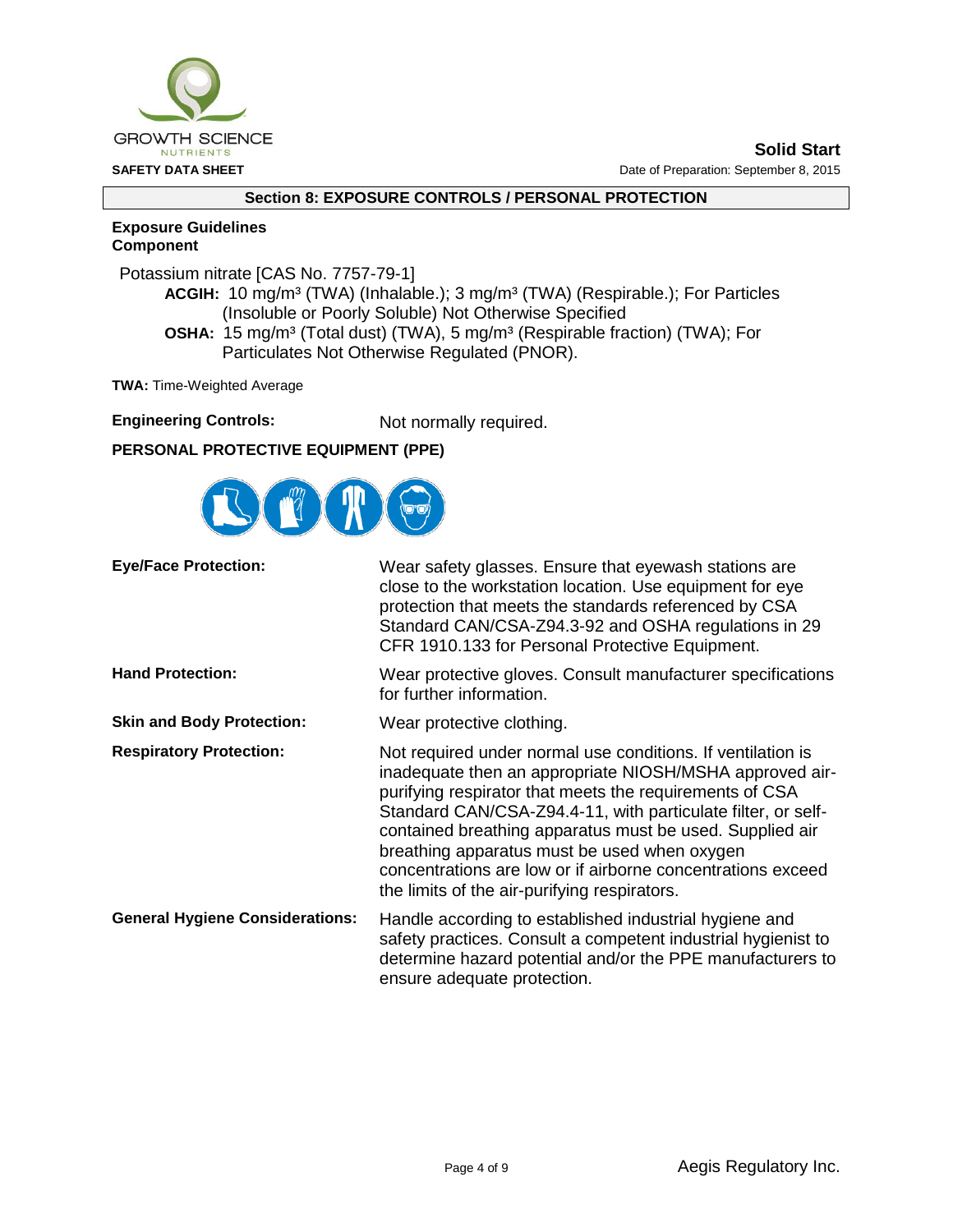

#### **Section 8: EXPOSURE CONTROLS / PERSONAL PROTECTION**

#### **Exposure Guidelines Component**

Potassium nitrate [CAS No. 7757-79-1]

**ACGIH:** 10 mg/m³ (TWA) (Inhalable.); 3 mg/m³ (TWA) (Respirable.); For Particles (Insoluble or Poorly Soluble) Not Otherwise Specified **OSHA:** 15 mg/m<sup>3</sup> (Total dust) (TWA), 5 mg/m<sup>3</sup> (Respirable fraction) (TWA); For

Particulates Not Otherwise Regulated (PNOR).

**TWA:** Time-Weighted Average

| <b>Engineering Controls:</b> | Not normally required. |
|------------------------------|------------------------|
|------------------------------|------------------------|

## **PERSONAL PROTECTIVE EQUIPMENT (PPE)**



| <b>Eye/Face Protection:</b>            | Wear safety glasses. Ensure that eyewash stations are<br>close to the workstation location. Use equipment for eye<br>protection that meets the standards referenced by CSA<br>Standard CAN/CSA-Z94.3-92 and OSHA regulations in 29<br>CFR 1910.133 for Personal Protective Equipment.                                                                                                                                                                                        |
|----------------------------------------|------------------------------------------------------------------------------------------------------------------------------------------------------------------------------------------------------------------------------------------------------------------------------------------------------------------------------------------------------------------------------------------------------------------------------------------------------------------------------|
| <b>Hand Protection:</b>                | Wear protective gloves. Consult manufacturer specifications<br>for further information.                                                                                                                                                                                                                                                                                                                                                                                      |
| <b>Skin and Body Protection:</b>       | Wear protective clothing.                                                                                                                                                                                                                                                                                                                                                                                                                                                    |
| <b>Respiratory Protection:</b>         | Not required under normal use conditions. If ventilation is<br>inadequate then an appropriate NIOSH/MSHA approved air-<br>purifying respirator that meets the requirements of CSA<br>Standard CAN/CSA-Z94.4-11, with particulate filter, or self-<br>contained breathing apparatus must be used. Supplied air<br>breathing apparatus must be used when oxygen<br>concentrations are low or if airborne concentrations exceed<br>the limits of the air-purifying respirators. |
| <b>General Hygiene Considerations:</b> | Handle according to established industrial hygiene and<br>safety practices. Consult a competent industrial hygienist to<br>determine hazard potential and/or the PPE manufacturers to<br>ensure adequate protection.                                                                                                                                                                                                                                                         |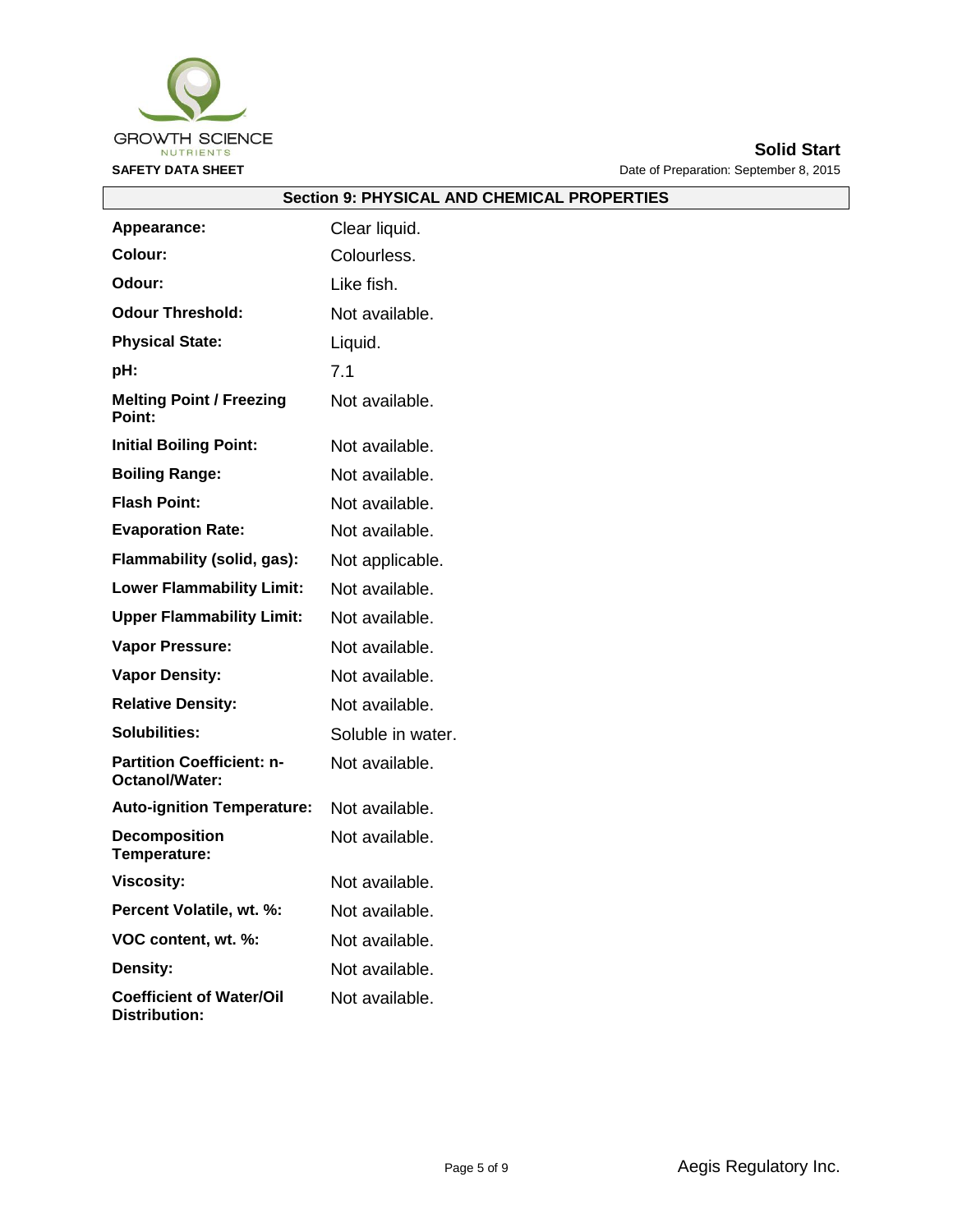

|                                                    | <b>OBCTION 9: PHT OIGAL ANL</b> |
|----------------------------------------------------|---------------------------------|
| <b>Appearance:</b>                                 | Clear liquid.                   |
| Colour:                                            | Colourless.                     |
| Odour:                                             | Like fish.                      |
| <b>Odour Threshold:</b>                            | Not available.                  |
| <b>Physical State:</b>                             | Liquid.                         |
| pH:                                                | 7.1                             |
| <b>Melting Point / Freezing</b><br>Point:          | Not available.                  |
| <b>Initial Boiling Point:</b>                      | Not available.                  |
| <b>Boiling Range:</b>                              | Not available.                  |
| <b>Flash Point:</b>                                | Not available.                  |
| <b>Evaporation Rate:</b>                           | Not available.                  |
| Flammability (solid, gas):                         | Not applicable.                 |
| <b>Lower Flammability Limit:</b>                   | Not available.                  |
| <b>Upper Flammability Limit:</b>                   | Not available.                  |
| Vapor Pressure:                                    | Not available.                  |
| <b>Vapor Density:</b>                              | Not available.                  |
| <b>Relative Density:</b>                           | Not available.                  |
| Solubilities:                                      | Soluble in water.               |
| <b>Partition Coefficient: n-</b><br>Octanol/Water: | Not available.                  |
| <b>Auto-ignition Temperature:</b>                  | Not available.                  |
| <b>Decomposition</b><br>Temperature:               | Not available.                  |
| <b>Viscosity:</b>                                  | Not available.                  |
| Percent Volatile, wt. %:                           | Not available.                  |
| VOC content, wt. %:                                | Not available.                  |
| Density:                                           | Not available.                  |
| <b>Coefficient of Water/Oil</b><br>Distribution:   | Not available.                  |

# **Section 9: PHYSICAL AND CHEMICAL PROPERTIES**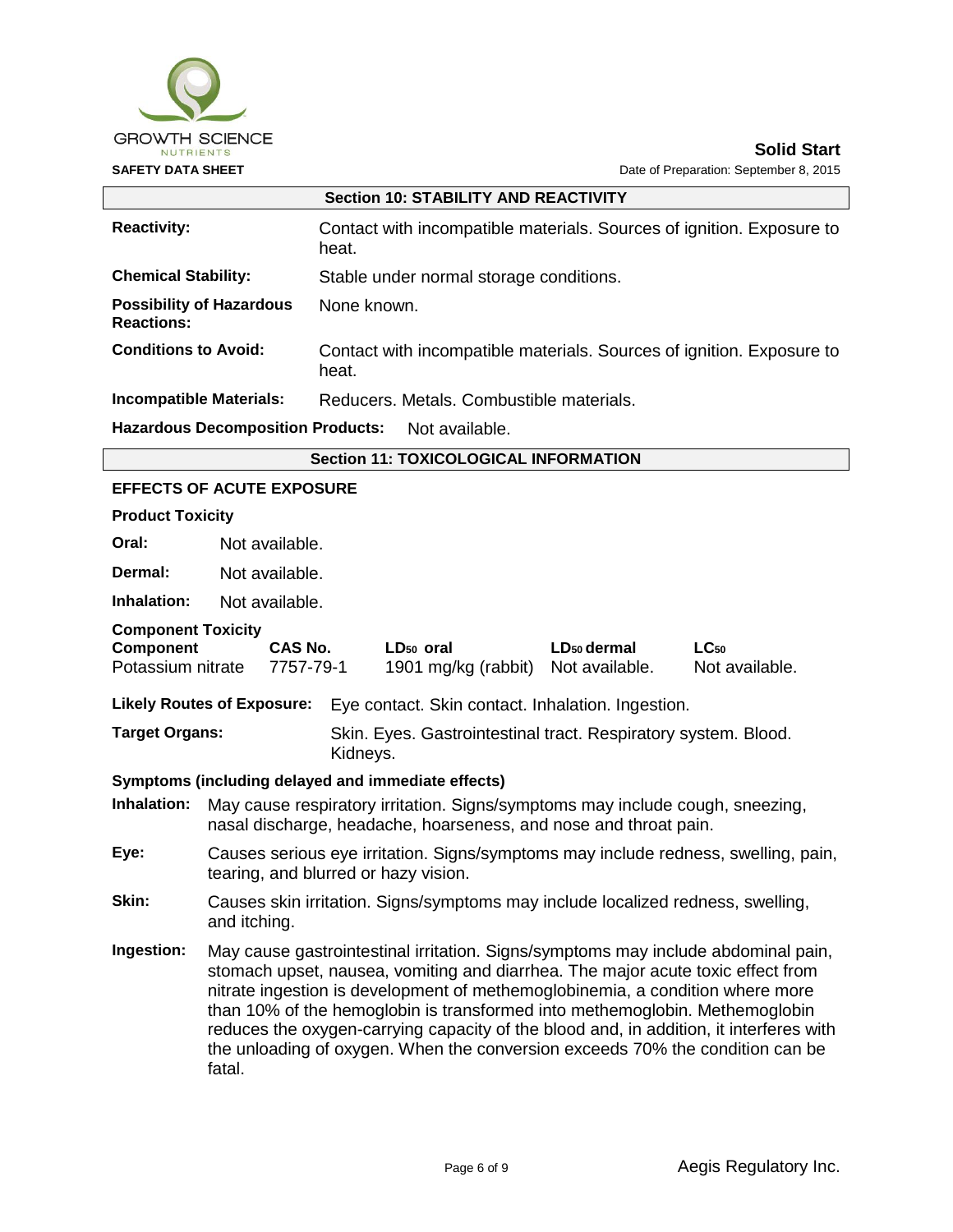

| <b>Section 10: STABILITY AND REACTIVITY</b> |                                                                                                                                                                                 |                                                                                |                                                                                   |  |  |  |
|---------------------------------------------|---------------------------------------------------------------------------------------------------------------------------------------------------------------------------------|--------------------------------------------------------------------------------|-----------------------------------------------------------------------------------|--|--|--|
| <b>Reactivity:</b>                          |                                                                                                                                                                                 | Contact with incompatible materials. Sources of ignition. Exposure to<br>heat. |                                                                                   |  |  |  |
| <b>Chemical Stability:</b>                  |                                                                                                                                                                                 |                                                                                | Stable under normal storage conditions.                                           |  |  |  |
| <b>Reactions:</b>                           | <b>Possibility of Hazardous</b>                                                                                                                                                 | None known.                                                                    |                                                                                   |  |  |  |
| <b>Conditions to Avoid:</b>                 |                                                                                                                                                                                 | heat.                                                                          | Contact with incompatible materials. Sources of ignition. Exposure to             |  |  |  |
| <b>Incompatible Materials:</b>              |                                                                                                                                                                                 |                                                                                | Reducers, Metals, Combustible materials,                                          |  |  |  |
|                                             | <b>Hazardous Decomposition Products:</b>                                                                                                                                        |                                                                                | Not available.                                                                    |  |  |  |
|                                             |                                                                                                                                                                                 |                                                                                | <b>Section 11: TOXICOLOGICAL INFORMATION</b>                                      |  |  |  |
|                                             | <b>EFFECTS OF ACUTE EXPOSURE</b>                                                                                                                                                |                                                                                |                                                                                   |  |  |  |
| <b>Product Toxicity</b>                     |                                                                                                                                                                                 |                                                                                |                                                                                   |  |  |  |
| Oral:                                       | Not available.                                                                                                                                                                  |                                                                                |                                                                                   |  |  |  |
| Dermal:                                     | Not available.                                                                                                                                                                  |                                                                                |                                                                                   |  |  |  |
| Inhalation:                                 | Not available.                                                                                                                                                                  |                                                                                |                                                                                   |  |  |  |
| <b>Component Toxicity</b>                   |                                                                                                                                                                                 |                                                                                |                                                                                   |  |  |  |
|                                             | CAS No.<br>LD <sub>50</sub> dermal<br>Component<br>LD <sub>50</sub> oral<br>$LC_{50}$<br>Not available.<br>Potassium nitrate<br>7757-79-1<br>1901 mg/kg (rabbit) Not available. |                                                                                |                                                                                   |  |  |  |
|                                             | <b>Likely Routes of Exposure:</b>                                                                                                                                               |                                                                                | Eye contact. Skin contact. Inhalation. Ingestion.                                 |  |  |  |
|                                             | <b>Target Organs:</b><br>Skin. Eyes. Gastrointestinal tract. Respiratory system. Blood.<br>Kidneys.                                                                             |                                                                                |                                                                                   |  |  |  |
|                                             |                                                                                                                                                                                 |                                                                                | Symptoms (including delayed and immediate effects)                                |  |  |  |
| Inhalation:                                 | May cause respiratory irritation. Signs/symptoms may include cough, sneezing,<br>nasal discharge, headache, hoarseness, and nose and throat pain.                               |                                                                                |                                                                                   |  |  |  |
| Eye:                                        | Causes serious eye irritation. Signs/symptoms may include redness, swelling, pain,<br>tearing, and blurred or hazy vision.                                                      |                                                                                |                                                                                   |  |  |  |
| Skin:                                       | and itching.                                                                                                                                                                    |                                                                                | Causes skin irritation. Signs/symptoms may include localized redness, swelling,   |  |  |  |
| Ingestion:                                  |                                                                                                                                                                                 |                                                                                | May cause gastrointestinal irritation. Signs/symptoms may include abdominal pain. |  |  |  |

**Ingestion:** May cause gastrointestinal irritation. Signs/symptoms may include abdominal pain, stomach upset, nausea, vomiting and diarrhea. The major acute toxic effect from nitrate ingestion is development of methemoglobinemia, a condition where more than 10% of the hemoglobin is transformed into methemoglobin. Methemoglobin reduces the oxygen-carrying capacity of the blood and, in addition, it interferes with the unloading of oxygen. When the conversion exceeds 70% the condition can be fatal.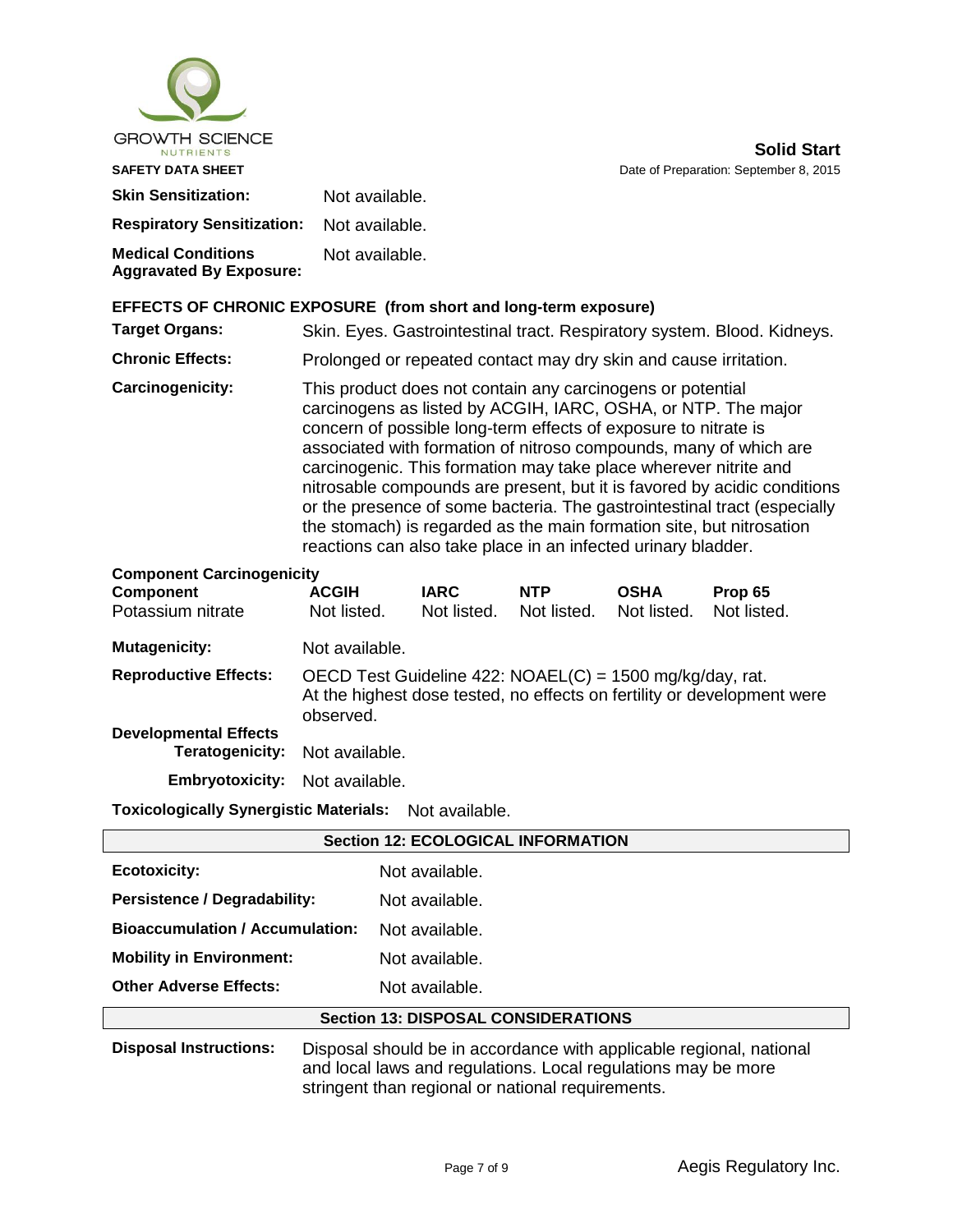| <b>GROWTH SCIENCE</b><br>NUTRIENTS                                 |                                                                                                                                                                                                                                                                                                                                                                                                                                                                                                                                                                                                                                          |                            |                           |                            | <b>Solid Start</b>                                                      |
|--------------------------------------------------------------------|------------------------------------------------------------------------------------------------------------------------------------------------------------------------------------------------------------------------------------------------------------------------------------------------------------------------------------------------------------------------------------------------------------------------------------------------------------------------------------------------------------------------------------------------------------------------------------------------------------------------------------------|----------------------------|---------------------------|----------------------------|-------------------------------------------------------------------------|
| <b>SAFETY DATA SHEET</b>                                           |                                                                                                                                                                                                                                                                                                                                                                                                                                                                                                                                                                                                                                          |                            |                           |                            | Date of Preparation: September 8, 2015                                  |
| <b>Skin Sensitization:</b>                                         | Not available.                                                                                                                                                                                                                                                                                                                                                                                                                                                                                                                                                                                                                           |                            |                           |                            |                                                                         |
| <b>Respiratory Sensitization:</b>                                  | Not available.                                                                                                                                                                                                                                                                                                                                                                                                                                                                                                                                                                                                                           |                            |                           |                            |                                                                         |
| <b>Medical Conditions</b><br><b>Aggravated By Exposure:</b>        | Not available.                                                                                                                                                                                                                                                                                                                                                                                                                                                                                                                                                                                                                           |                            |                           |                            |                                                                         |
| EFFECTS OF CHRONIC EXPOSURE (from short and long-term exposure)    |                                                                                                                                                                                                                                                                                                                                                                                                                                                                                                                                                                                                                                          |                            |                           |                            |                                                                         |
| <b>Target Organs:</b>                                              |                                                                                                                                                                                                                                                                                                                                                                                                                                                                                                                                                                                                                                          |                            |                           |                            | Skin. Eyes. Gastrointestinal tract. Respiratory system. Blood. Kidneys. |
| <b>Chronic Effects:</b>                                            | Prolonged or repeated contact may dry skin and cause irritation.                                                                                                                                                                                                                                                                                                                                                                                                                                                                                                                                                                         |                            |                           |                            |                                                                         |
| Carcinogenicity:                                                   | This product does not contain any carcinogens or potential<br>carcinogens as listed by ACGIH, IARC, OSHA, or NTP. The major<br>concern of possible long-term effects of exposure to nitrate is<br>associated with formation of nitroso compounds, many of which are<br>carcinogenic. This formation may take place wherever nitrite and<br>nitrosable compounds are present, but it is favored by acidic conditions<br>or the presence of some bacteria. The gastrointestinal tract (especially<br>the stomach) is regarded as the main formation site, but nitrosation<br>reactions can also take place in an infected urinary bladder. |                            |                           |                            |                                                                         |
| <b>Component Carcinogenicity</b><br>Component<br>Potassium nitrate | <b>ACGIH</b><br>Not listed.                                                                                                                                                                                                                                                                                                                                                                                                                                                                                                                                                                                                              | <b>IARC</b><br>Not listed. | <b>NTP</b><br>Not listed. | <b>OSHA</b><br>Not listed. | Prop 65<br>Not listed.                                                  |
| <b>Mutagenicity:</b>                                               | Not available.                                                                                                                                                                                                                                                                                                                                                                                                                                                                                                                                                                                                                           |                            |                           |                            |                                                                         |
| <b>Reproductive Effects:</b>                                       | OECD Test Guideline 422: NOAEL(C) = 1500 mg/kg/day, rat.<br>observed.                                                                                                                                                                                                                                                                                                                                                                                                                                                                                                                                                                    |                            |                           |                            | At the highest dose tested, no effects on fertility or development were |
| <b>Developmental Effects</b>                                       |                                                                                                                                                                                                                                                                                                                                                                                                                                                                                                                                                                                                                                          |                            |                           |                            |                                                                         |

**Teratogenicity:** Not available. **Embryotoxicity:** Not available.

**Toxicologically Synergistic Materials:** Not available.

| <b>Section 12: ECOLOGICAL INFORMATION</b>  |                                                                                                                                                                                           |  |  |
|--------------------------------------------|-------------------------------------------------------------------------------------------------------------------------------------------------------------------------------------------|--|--|
| <b>Ecotoxicity:</b>                        | Not available.                                                                                                                                                                            |  |  |
| <b>Persistence / Degradability:</b>        | Not available.                                                                                                                                                                            |  |  |
| <b>Bioaccumulation / Accumulation:</b>     | Not available.                                                                                                                                                                            |  |  |
| <b>Mobility in Environment:</b>            | Not available.                                                                                                                                                                            |  |  |
| <b>Other Adverse Effects:</b>              | Not available.                                                                                                                                                                            |  |  |
| <b>Section 13: DISPOSAL CONSIDERATIONS</b> |                                                                                                                                                                                           |  |  |
| <b>Disposal Instructions:</b>              | Disposal should be in accordance with applicable regional, national<br>and local laws and regulations. Local regulations may be more<br>stringent than regional or national requirements. |  |  |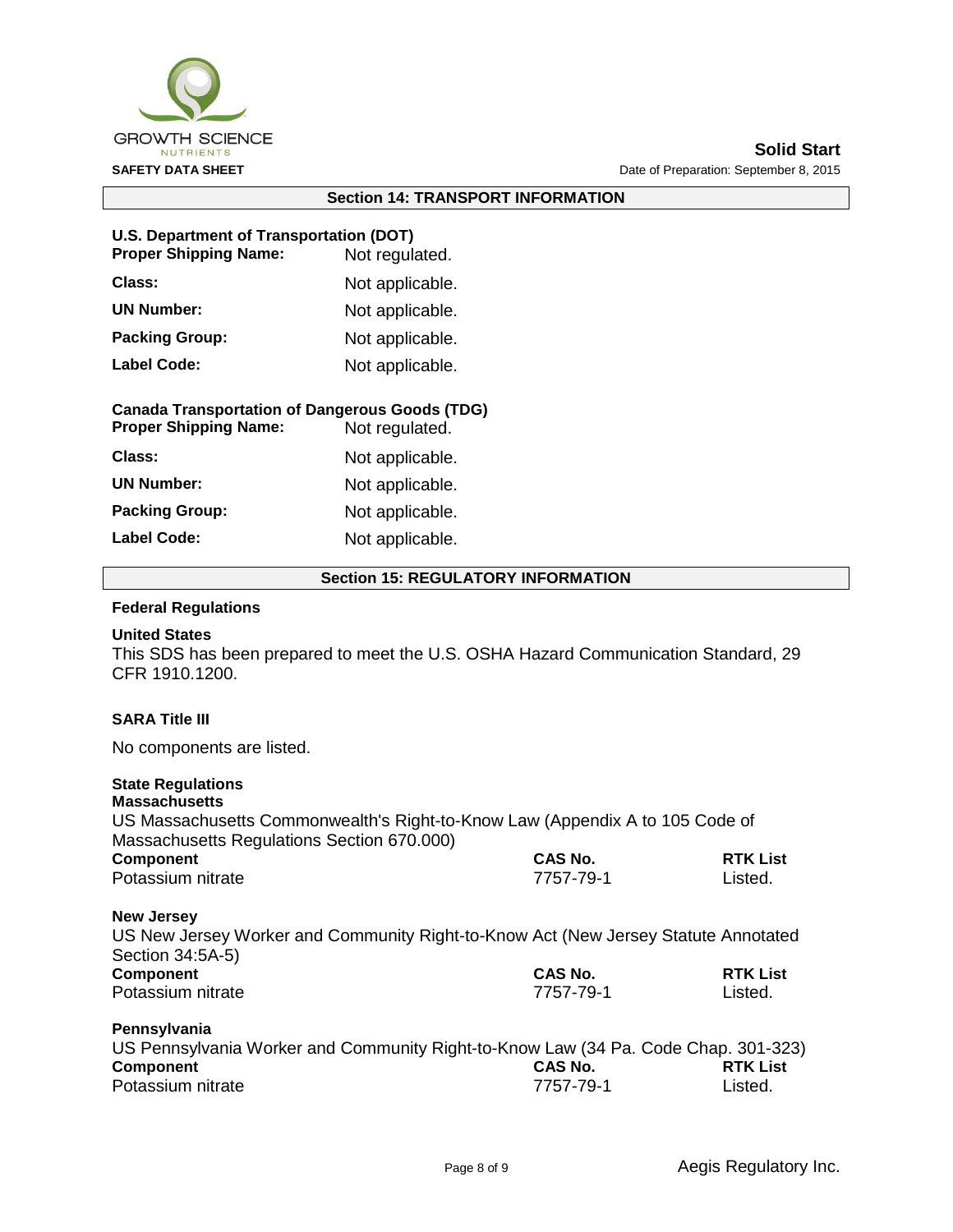

#### **Section 14: TRANSPORT INFORMATION**

#### **U.S. Department of Transportation (DOT)**

| <b>Proper Shipping Name:</b> | Not regulated.  |
|------------------------------|-----------------|
| <b>Class:</b>                | Not applicable. |
| <b>UN Number:</b>            | Not applicable. |
| <b>Packing Group:</b>        | Not applicable. |
| <b>Label Code:</b>           | Not applicable. |

## **Canada Transportation of Dangerous Goods (TDG)**

| <b>Proper Shipping Name:</b> | Not regulated.  |
|------------------------------|-----------------|
| Class:                       | Not applicable. |
| <b>UN Number:</b>            | Not applicable. |
| <b>Packing Group:</b>        | Not applicable. |
| <b>Label Code:</b>           | Not applicable. |

#### **Section 15: REGULATORY INFORMATION**

#### **Federal Regulations**

#### **United States**

This SDS has been prepared to meet the U.S. OSHA Hazard Communication Standard, 29 CFR 1910.1200.

## **SARA Title III**

No components are listed.

## **State Regulations**

| <b>Massachusetts</b>                                                               |                                                                                    |                            |                   |  |  |  |
|------------------------------------------------------------------------------------|------------------------------------------------------------------------------------|----------------------------|-------------------|--|--|--|
| US Massachusetts Commonwealth's Right-to-Know Law (Appendix A to 105 Code of       |                                                                                    |                            |                   |  |  |  |
| Massachusetts Regulations Section 670.000)                                         |                                                                                    |                            |                   |  |  |  |
| <b>Component</b><br>Potassium nitrate                                              | CAS No.<br>7757-79-1                                                               | <b>RTK List</b><br>Listed. |                   |  |  |  |
|                                                                                    |                                                                                    |                            | <b>New Jersey</b> |  |  |  |
| US New Jersey Worker and Community Right-to-Know Act (New Jersey Statute Annotated |                                                                                    |                            |                   |  |  |  |
| Section 34:5A-5)                                                                   |                                                                                    |                            |                   |  |  |  |
| <b>Component</b>                                                                   | CAS No.                                                                            | <b>RTK List</b>            |                   |  |  |  |
| Potassium nitrate                                                                  | 7757-79-1                                                                          | Listed.                    |                   |  |  |  |
| Pennsylvania                                                                       |                                                                                    |                            |                   |  |  |  |
|                                                                                    | US Pennsylvania Worker and Community Right-to-Know Law (34 Pa. Code Chap. 301-323) |                            |                   |  |  |  |
| Component                                                                          | CAS No.                                                                            | <b>RTK List</b>            |                   |  |  |  |
| Potassium nitrate                                                                  | 7757-79-1                                                                          | Listed.                    |                   |  |  |  |